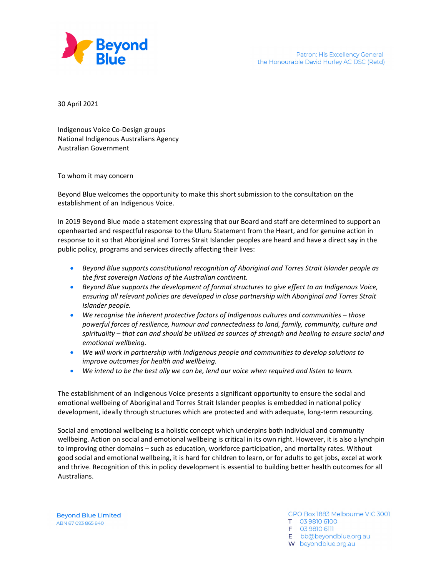

30 April 2021

 Indigenous Voice Co‐Design groups National Indigenous Australians Agency Australian Government

To whom it may concern

 Beyond Blue welcomes the opportunity to make this short submission to the consultation on the establishment of an Indigenous Voice.

 In 2019 Beyond Blue made a statement expressing that our Board and staff are determined to support an openhearted and respectful response to the Uluru Statement from the Heart, and for genuine action in response to it so that Aboriginal and Torres Strait Islander peoples are heard and have a direct say in the public policy, programs and services directly affecting their lives:

- Beyond Blue supports constitutional recognition of Aboriginal and Torres Strait Islander people as  *the first sovereign Nations of the Australian continent.*
- Beyond Blue supports the development of formal structures to give effect to an Indigenous Voice, ensuring all relevant policies are developed in close partnership with Aboriginal and Torres Strait  *Islander people.*
- *We recognise the inherent protective factors of Indigenous cultures and communities – those* powerful forces of resilience, humour and connectedness to land, family, community, culture and spirituality – that can and should be utilised as sources of strength and healing to ensure social and  *emotional wellbeing.*
- We will work in partnership with Indigenous people and communities to develop solutions to  *improve outcomes for health and wellbeing.*
- We intend to be the best ally we can be, lend our voice when required and listen to learn.

 The establishment of an Indigenous Voice presents a significant opportunity to ensure the social and emotional wellbeing of Aboriginal and Torres Strait Islander peoples is embedded in national policy development, ideally through structures which are protected and with adequate, long‐term resourcing.

 Social and emotional wellbeing is a holistic concept which underpins both individual and community wellbeing. Action on social and emotional wellbeing is critical in its own right. However, it is also a lynchpin to improving other domains – such as education, workforce participation, and mortality rates. Without good social and emotional wellbeing, it is hard for children to learn, or for adults to get jobs, excel at work and thrive. Recognition of this in policy development is essential to building better health outcomes for all Australians.

**Beyond Blue Limited** ABN 87 093 865 840

GPO Box 1883 Melbourne VIC 3001 T 03 9810 6100 F 03 9810 6111 E bb@beyondblue.org.au W beyondblue.org.au